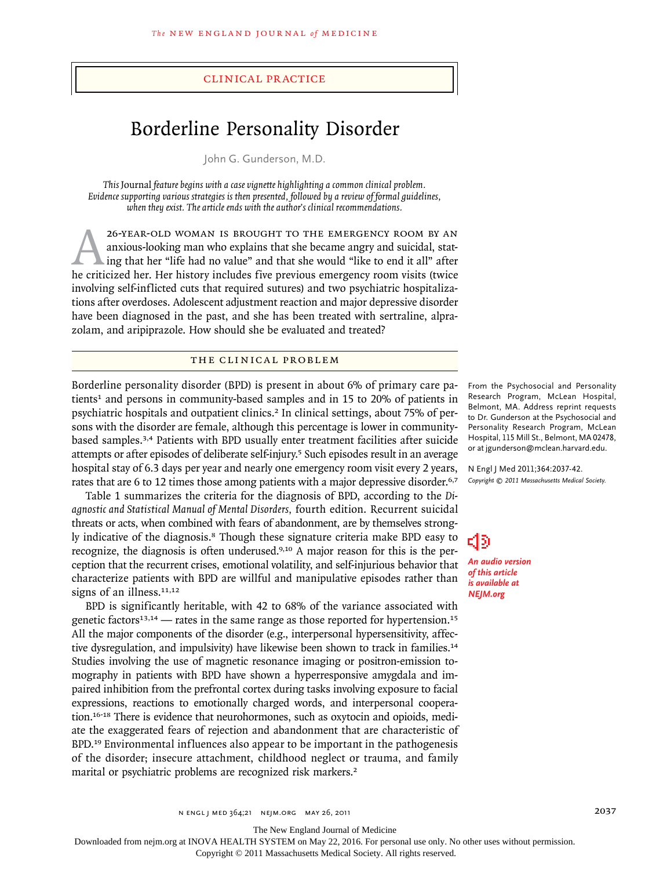#### clinical practice

# Borderline Personality Disorder

John G. Gunderson, M.D.

*This* Journal *feature begins with a case vignette highlighting a common clinical problem. Evidence supporting various strategies is then presented, followed by a review of formal guidelines, when they exist. The article ends with the author's clinical recommendations.* 

26-YEAR-OLD WOMAN IS BROUGHT TO THE EMERGENCY ROOM BY AN anxious-looking man who explains that she became angry and suicidal, stating that her "life had no value" and that she would "like to end it all" after the criticize anxious-looking man who explains that she became angry and suicidal, stating that her "life had no value" and that she would "like to end it all" after he criticized her. Her history includes five previous emergency room visits (twice involving self-inflicted cuts that required sutures) and two psychiatric hospitalizations after overdoses. Adolescent adjustment reaction and major depressive disorder have been diagnosed in the past, and she has been treated with sertraline, alprazolam, and aripiprazole. How should she be evaluated and treated?

## THE CLINICAL PROBLEM

Borderline personality disorder (BPD) is present in about 6% of primary care patients1 and persons in community-based samples and in 15 to 20% of patients in psychiatric hospitals and outpatient clinics.2 In clinical settings, about 75% of persons with the disorder are female, although this percentage is lower in communitybased samples.3,4 Patients with BPD usually enter treatment facilities after suicide attempts or after episodes of deliberate self-injury.5 Such episodes result in an average hospital stay of 6.3 days per year and nearly one emergency room visit every 2 years, rates that are 6 to 12 times those among patients with a major depressive disorder.<sup>6,7</sup>

Table 1 summarizes the criteria for the diagnosis of BPD, according to the *Diagnostic and Statistical Manual of Mental Disorders,* fourth edition. Recurrent suicidal threats or acts, when combined with fears of abandonment, are by themselves strongly indicative of the diagnosis.<sup>8</sup> Though these signature criteria make BPD easy to recognize, the diagnosis is often underused.9,10 A major reason for this is the perception that the recurrent crises, emotional volatility, and self-injurious behavior that characterize patients with BPD are willful and manipulative episodes rather than signs of an illness. $11,12$ 

BPD is significantly heritable, with 42 to 68% of the variance associated with genetic factors<sup>13,14</sup> — rates in the same range as those reported for hypertension.<sup>15</sup> All the major components of the disorder (e.g., interpersonal hypersensitivity, affective dysregulation, and impulsivity) have likewise been shown to track in families.<sup>14</sup> Studies involving the use of magnetic resonance imaging or positron-emission tomography in patients with BPD have shown a hyperresponsive amygdala and impaired inhibition from the prefrontal cortex during tasks involving exposure to facial expressions, reactions to emotionally charged words, and interpersonal cooperation.16-18 There is evidence that neurohormones, such as oxytocin and opioids, mediate the exaggerated fears of rejection and abandonment that are characteristic of BPD.<sup>19</sup> Environmental influences also appear to be important in the pathogenesis of the disorder; insecure attachment, childhood neglect or trauma, and family marital or psychiatric problems are recognized risk markers.<sup>2</sup>

From the Psychosocial and Personality Research Program, McLean Hospital, Belmont, MA. Address reprint requests to Dr. Gunderson at the Psychosocial and Personality Research Program, McLean Hospital, 115 Mill St., Belmont, MA 02478, or at jgunderson@mclean.harvard.edu.

N Engl J Med 2011;364:2037-42. *Copyright © 2011 Massachusetts Medical Society.*

## 다3

*An audio version of this article is available at NEJM.org*

n engl j med 364;21 nejm.org may 26, 2011 2037

The New England Journal of Medicine

Downloaded from nejm.org at INOVA HEALTH SYSTEM on May 22, 2016. For personal use only. No other uses without permission.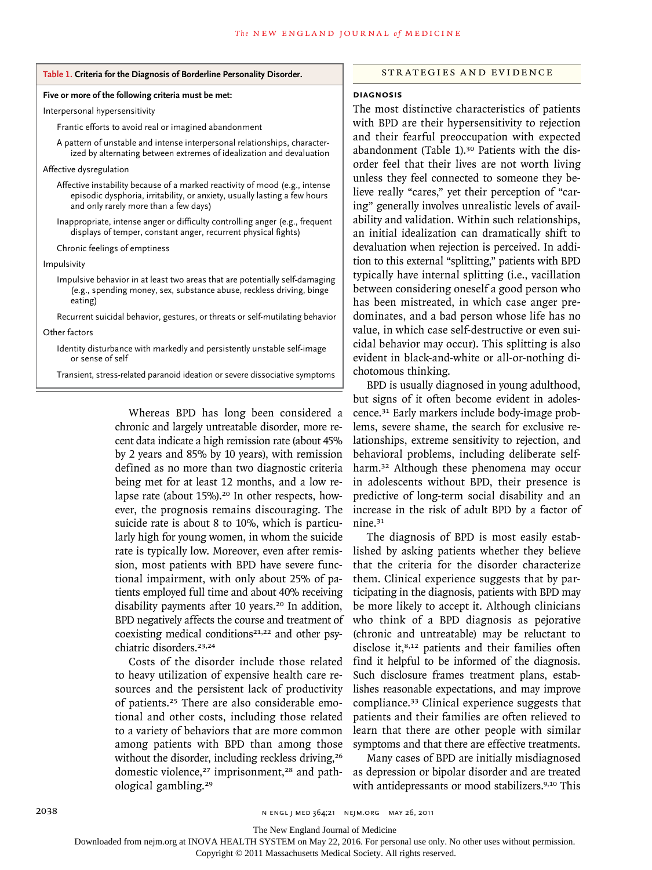#### **Table 1. Criteria for the Diagnosis of Borderline Personality Disorder.**

#### **Five or more of the following criteria must be met:**

Interpersonal hypersensitivity

Frantic efforts to avoid real or imagined abandonment

- A pattern of unstable and intense interpersonal relationships, characterized by alternating between extremes of idealization and devaluation
- Affective dysregulation
	- Affective instability because of a marked reactivity of mood (e.g., intense episodic dysphoria, irritability, or anxiety, usually lasting a few hours and only rarely more than a few days)
	- Inappropriate, intense anger or difficulty controlling anger (e.g., frequent displays of temper, constant anger, recurrent physical fights)

Chronic feelings of emptiness

Impulsivity

- Impulsive behavior in at least two areas that are potentially self-damaging (e.g., spending money, sex, substance abuse, reckless driving, binge eating)
- Recurrent suicidal behavior, gestures, or threats or self-mutilating behavior

Other factors

Identity disturbance with markedly and persistently unstable self-image or sense of self

Transient, stress-related paranoid ideation or severe dissociative symptoms

Whereas BPD has long been considered a chronic and largely untreatable disorder, more recent data indicate a high remission rate (about 45% by 2 years and 85% by 10 years), with remission defined as no more than two diagnostic criteria being met for at least 12 months, and a low relapse rate (about 15%).<sup>20</sup> In other respects, however, the prognosis remains discouraging. The suicide rate is about 8 to 10%, which is particularly high for young women, in whom the suicide rate is typically low. Moreover, even after remission, most patients with BPD have severe functional impairment, with only about 25% of patients employed full time and about 40% receiving disability payments after 10 years.<sup>20</sup> In addition, BPD negatively affects the course and treatment of coexisting medical conditions<sup>21,22</sup> and other psychiatric disorders.23,24

Costs of the disorder include those related to heavy utilization of expensive health care resources and the persistent lack of productivity of patients.25 There are also considerable emotional and other costs, including those related to a variety of behaviors that are more common among patients with BPD than among those without the disorder, including reckless driving,<sup>26</sup> domestic violence,<sup>27</sup> imprisonment,<sup>28</sup> and pathological gambling.<sup>29</sup>

## STRATEGIES AND EVIDENCE

## **Diagnosis**

The most distinctive characteristics of patients with BPD are their hypersensitivity to rejection and their fearful preoccupation with expected abandonment (Table 1).30 Patients with the disorder feel that their lives are not worth living unless they feel connected to someone they believe really "cares," yet their perception of "caring" generally involves unrealistic levels of availability and validation. Within such relationships, an initial idealization can dramatically shift to devaluation when rejection is perceived. In addition to this external "splitting," patients with BPD typically have internal splitting (i.e., vacillation between considering oneself a good person who has been mistreated, in which case anger predominates, and a bad person whose life has no value, in which case self-destructive or even suicidal behavior may occur). This splitting is also evident in black-and-white or all-or-nothing dichotomous thinking.

BPD is usually diagnosed in young adulthood, but signs of it often become evident in adolescence.31 Early markers include body-image problems, severe shame, the search for exclusive relationships, extreme sensitivity to rejection, and behavioral problems, including deliberate selfharm.<sup>32</sup> Although these phenomena may occur in adolescents without BPD, their presence is predictive of long-term social disability and an increase in the risk of adult BPD by a factor of nine.<sup>31</sup>

The diagnosis of BPD is most easily established by asking patients whether they believe that the criteria for the disorder characterize them. Clinical experience suggests that by participating in the diagnosis, patients with BPD may be more likely to accept it. Although clinicians who think of a BPD diagnosis as pejorative (chronic and untreatable) may be reluctant to disclose it, $8,12$  patients and their families often find it helpful to be informed of the diagnosis. Such disclosure frames treatment plans, establishes reasonable expectations, and may improve compliance.33 Clinical experience suggests that patients and their families are often relieved to learn that there are other people with similar symptoms and that there are effective treatments.

Many cases of BPD are initially misdiagnosed as depression or bipolar disorder and are treated with antidepressants or mood stabilizers.<sup>9,10</sup> This

The New England Journal of Medicine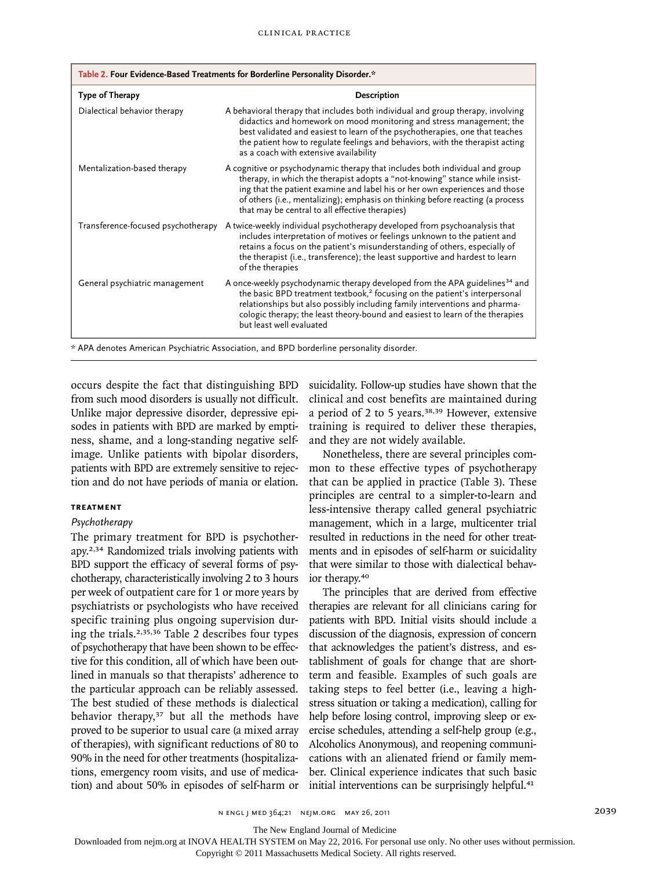| Table 2. Four Evidence-Based Treatments for Borderline Personality Disorder.* |                                                                                                                                                                                                                                                                                                                                                                                 |  |
|-------------------------------------------------------------------------------|---------------------------------------------------------------------------------------------------------------------------------------------------------------------------------------------------------------------------------------------------------------------------------------------------------------------------------------------------------------------------------|--|
| Type of Therapy                                                               | <b>Description</b>                                                                                                                                                                                                                                                                                                                                                              |  |
| Dialectical behavior therapy                                                  | A behavioral therapy that includes both individual and group therapy, involving<br>didactics and homework on mood monitoring and stress management; the<br>best validated and easiest to learn of the psychotherapies, one that teaches<br>the patient how to regulate feelings and behaviors, with the therapist acting<br>as a coach with extensive availability              |  |
| Mentalization-based therapy                                                   | A cognitive or psychodynamic therapy that includes both individual and group<br>therapy, in which the therapist adopts a "not-knowing" stance while insist-<br>ing that the patient examine and label his or her own experiences and those<br>of others (i.e., mentalizing); emphasis on thinking before reacting (a process<br>that may be central to all effective therapies) |  |
| Transference-focused psychotherapy                                            | A twice-weekly individual psychotherapy developed from psychoanalysis that<br>includes interpretation of motives or feelings unknown to the patient and<br>retains a focus on the patient's misunderstanding of others, especially of<br>the therapist (i.e., transference); the least supportive and hardest to learn<br>of the therapies                                      |  |
| General psychiatric management                                                | A once-weekly psychodynamic therapy developed from the APA guidelines <sup>34</sup> and<br>the basic BPD treatment textbook, <sup>2</sup> focusing on the patient's interpersonal<br>relationships but also possibly including family interventions and pharma-<br>cologic therapy; the least theory-bound and easiest to learn of the therapies<br>but least well evaluated    |  |

occurs despite the fact that distinguishing BPD from such mood disorders is usually not difficult. Unlike major depressive disorder, depressive episodes in patients with BPD are marked by emptiness, shame, and a long-standing negative selfimage. Unlike patients with bipolar disorders, patients with BPD are extremely sensitive to rejection and do not have periods of mania or elation.

#### **Treatment**

## *Psychotherapy*

The primary treatment for BPD is psychotherapy.2,34 Randomized trials involving patients with BPD support the efficacy of several forms of psychotherapy, characteristically involving 2 to 3 hours per week of outpatient care for 1 or more years by psychiatrists or psychologists who have received specific training plus ongoing supervision during the trials.2,35,36 Table 2 describes four types of psychotherapy that have been shown to be effective for this condition, all of which have been outlined in manuals so that therapists' adherence to the particular approach can be reliably assessed. The best studied of these methods is dialectical behavior therapy,<sup>37</sup> but all the methods have proved to be superior to usual care (a mixed array of therapies), with significant reductions of 80 to 90% in the need for other treatments (hospitalizations, emergency room visits, and use of medication) and about 50% in episodes of self-harm or suicidality. Follow-up studies have shown that the clinical and cost benefits are maintained during a period of 2 to 5 years.<sup>38,39</sup> However, extensive training is required to deliver these therapies, and they are not widely available.

Nonetheless, there are several principles common to these effective types of psychotherapy that can be applied in practice (Table 3). These principles are central to a simpler-to-learn and less-intensive therapy called general psychiatric management, which in a large, multicenter trial resulted in reductions in the need for other treatments and in episodes of self-harm or suicidality that were similar to those with dialectical behavior therapy.<sup>40</sup>

The principles that are derived from effective therapies are relevant for all clinicians caring for patients with BPD. Initial visits should include a discussion of the diagnosis, expression of concern that acknowledges the patient's distress, and establishment of goals for change that are shortterm and feasible. Examples of such goals are taking steps to feel better (i.e., leaving a highstress situation or taking a medication), calling for help before losing control, improving sleep or exercise schedules, attending a self-help group (e.g., Alcoholics Anonymous), and reopening communications with an alienated friend or family member. Clinical experience indicates that such basic initial interventions can be surprisingly helpful.<sup>41</sup>

The New England Journal of Medicine

Downloaded from nejm.org at INOVA HEALTH SYSTEM on May 22, 2016. For personal use only. No other uses without permission.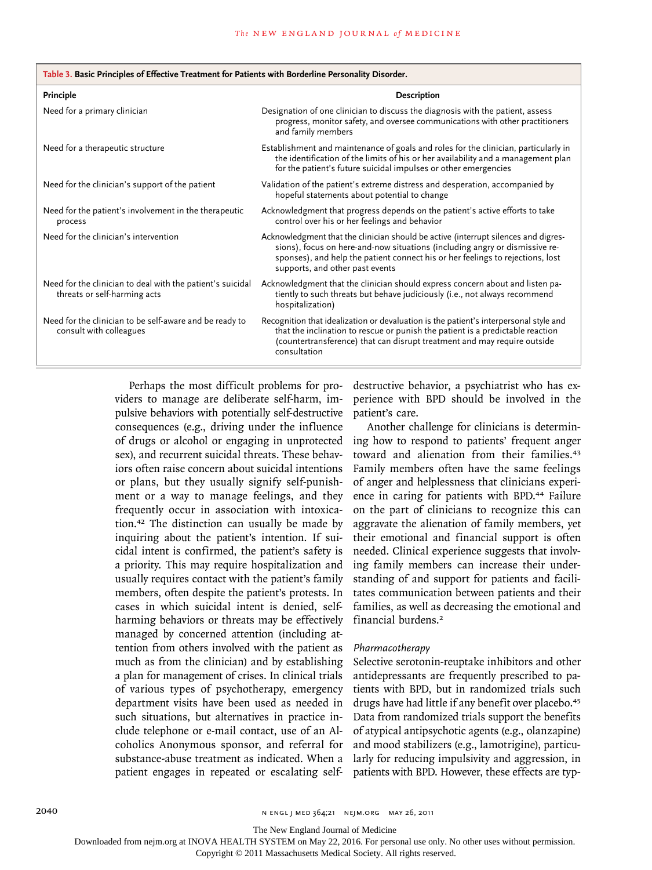| Table 3. Basic Principles of Effective Treatment for Patients with Borderline Personality Disorder. |                                                                                                                                                                                                                                                                                        |  |
|-----------------------------------------------------------------------------------------------------|----------------------------------------------------------------------------------------------------------------------------------------------------------------------------------------------------------------------------------------------------------------------------------------|--|
| Principle                                                                                           | <b>Description</b>                                                                                                                                                                                                                                                                     |  |
| Need for a primary clinician                                                                        | Designation of one clinician to discuss the diagnosis with the patient, assess<br>progress, monitor safety, and oversee communications with other practitioners<br>and family members                                                                                                  |  |
| Need for a therapeutic structure                                                                    | Establishment and maintenance of goals and roles for the clinician, particularly in<br>the identification of the limits of his or her availability and a management plan<br>for the patient's future suicidal impulses or other emergencies                                            |  |
| Need for the clinician's support of the patient                                                     | Validation of the patient's extreme distress and desperation, accompanied by<br>hopeful statements about potential to change                                                                                                                                                           |  |
| Need for the patient's involvement in the therapeutic<br>process                                    | Acknowledgment that progress depends on the patient's active efforts to take<br>control over his or her feelings and behavior                                                                                                                                                          |  |
| Need for the clinician's intervention                                                               | Acknowledgment that the clinician should be active (interrupt silences and digres-<br>sions), focus on here-and-now situations (including angry or dismissive re-<br>sponses), and help the patient connect his or her feelings to rejections, lost<br>supports, and other past events |  |
| Need for the clinician to deal with the patient's suicidal<br>threats or self-harming acts          | Acknowledgment that the clinician should express concern about and listen pa-<br>tiently to such threats but behave judiciously (i.e., not always recommend<br>hospitalization)                                                                                                        |  |
| Need for the clinician to be self-aware and be ready to<br>consult with colleagues                  | Recognition that idealization or devaluation is the patient's interpersonal style and<br>that the inclination to rescue or punish the patient is a predictable reaction<br>(countertransference) that can disrupt treatment and may require outside<br>consultation                    |  |

Perhaps the most difficult problems for providers to manage are deliberate self-harm, impulsive behaviors with potentially self-destructive consequences (e.g., driving under the influence of drugs or alcohol or engaging in unprotected sex), and recurrent suicidal threats. These behaviors often raise concern about suicidal intentions or plans, but they usually signify self-punishment or a way to manage feelings, and they frequently occur in association with intoxication.42 The distinction can usually be made by inquiring about the patient's intention. If suicidal intent is confirmed, the patient's safety is a priority. This may require hospitalization and usually requires contact with the patient's family members, often despite the patient's protests. In cases in which suicidal intent is denied, selfharming behaviors or threats may be effectively managed by concerned attention (including attention from others involved with the patient as much as from the clinician) and by establishing a plan for management of crises. In clinical trials of various types of psychotherapy, emergency department visits have been used as needed in such situations, but alternatives in practice include telephone or e-mail contact, use of an Alcoholics Anonymous sponsor, and referral for substance-abuse treatment as indicated. When a patient engages in repeated or escalating selfdestructive behavior, a psychiatrist who has experience with BPD should be involved in the patient's care.

Another challenge for clinicians is determining how to respond to patients' frequent anger toward and alienation from their families.<sup>43</sup> Family members often have the same feelings of anger and helplessness that clinicians experience in caring for patients with BPD.44 Failure on the part of clinicians to recognize this can aggravate the alienation of family members, yet their emotional and financial support is often needed. Clinical experience suggests that involving family members can increase their understanding of and support for patients and facilitates communication between patients and their families, as well as decreasing the emotional and financial burdens.<sup>2</sup>

#### *Pharmacotherapy*

Selective serotonin-reuptake inhibitors and other antidepressants are frequently prescribed to patients with BPD, but in randomized trials such drugs have had little if any benefit over placebo.<sup>45</sup> Data from randomized trials support the benefits of atypical antipsychotic agents (e.g., olanzapine) and mood stabilizers (e.g., lamotrigine), particularly for reducing impulsivity and aggression, in patients with BPD. However, these effects are typ-

The New England Journal of Medicine

Downloaded from nejm.org at INOVA HEALTH SYSTEM on May 22, 2016. For personal use only. No other uses without permission.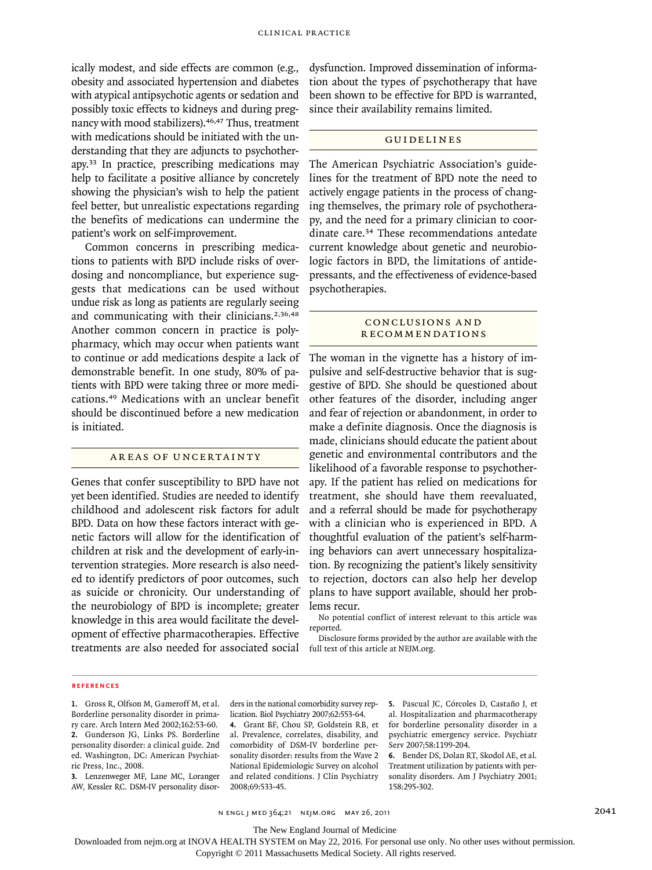ically modest, and side effects are common (e.g., obesity and associated hypertension and diabetes with atypical antipsychotic agents or sedation and possibly toxic effects to kidneys and during pregnancy with mood stabilizers).<sup>46,47</sup> Thus, treatment with medications should be initiated with the understanding that they are adjuncts to psychotherapy.33 In practice, prescribing medications may help to facilitate a positive alliance by concretely showing the physician's wish to help the patient feel better, but unrealistic expectations regarding the benefits of medications can undermine the patient's work on self-improvement.

Common concerns in prescribing medications to patients with BPD include risks of overdosing and noncompliance, but experience suggests that medications can be used without undue risk as long as patients are regularly seeing and communicating with their clinicians.<sup>2,36,48</sup> Another common concern in practice is polypharmacy, which may occur when patients want to continue or add medications despite a lack of demonstrable benefit. In one study, 80% of patients with BPD were taking three or more medications.49 Medications with an unclear benefit should be discontinued before a new medication is initiated.

## AREAS OF UNCERTAINTY

Genes that confer susceptibility to BPD have not yet been identified. Studies are needed to identify childhood and adolescent risk factors for adult BPD. Data on how these factors interact with genetic factors will allow for the identification of children at risk and the development of early-intervention strategies. More research is also needed to identify predictors of poor outcomes, such as suicide or chronicity. Our understanding of the neurobiology of BPD is incomplete; greater knowledge in this area would facilitate the development of effective pharmacotherapies. Effective treatments are also needed for associated social dysfunction. Improved dissemination of information about the types of psychotherapy that have been shown to be effective for BPD is warranted, since their availability remains limited.

#### Guidelines

The American Psychiatric Association's guidelines for the treatment of BPD note the need to actively engage patients in the process of changing themselves, the primary role of psychotherapy, and the need for a primary clinician to coordinate care.<sup>34</sup> These recommendations antedate current knowledge about genetic and neurobiologic factors in BPD, the limitations of antidepressants, and the effectiveness of evidence-based psychotherapies.

#### CONCLUSIONS AND R ecommendations

The woman in the vignette has a history of impulsive and self-destructive behavior that is suggestive of BPD. She should be questioned about other features of the disorder, including anger and fear of rejection or abandonment, in order to make a definite diagnosis. Once the diagnosis is made, clinicians should educate the patient about genetic and environmental contributors and the likelihood of a favorable response to psychotherapy. If the patient has relied on medications for treatment, she should have them reevaluated, and a referral should be made for psychotherapy with a clinician who is experienced in BPD. A thoughtful evaluation of the patient's self-harming behaviors can avert unnecessary hospitalization. By recognizing the patient's likely sensitivity to rejection, doctors can also help her develop plans to have support available, should her problems recur.

No potential conflict of interest relevant to this article was reported.

Disclosure forms provided by the author are available with the full text of this article at NEJM.org.

#### **References**

**1.** Gross R, Olfson M, Gameroff M, et al. Borderline personality disorder in primary care. Arch Intern Med 2002;162:53-60. **2.** Gunderson JG, Links PS. Borderline personality disorder: a clinical guide. 2nd ed. Washington, DC: American Psychiatric Press, Inc., 2008.

**3.** Lenzenweger MF, Lane MC, Loranger AW, Kessler RC. DSM-IV personality disorders in the national comorbidity survey replication. Biol Psychiatry 2007;62:553-64.

**4.** Grant BF, Chou SP, Goldstein RB, et al. Prevalence, correlates, disability, and comorbidity of DSM-IV borderline personality disorder: results from the Wave 2 National Epidemiologic Survey on alcohol and related conditions. J Clin Psychiatry 2008;69:533-45.

**5.** Pascual JC, Córcoles D, Castaño J, et al. Hospitalization and pharmacotherapy for borderline personality disorder in a psychiatric emergency service. Psychiatr Serv 2007;58:1199-204.

**6.** Bender DS, Dolan RT, Skodol AE, et al. Treatment utilization by patients with personality disorders. Am J Psychiatry 2001; 158:295-302.

n engl j med 364;21 nejm.org may 26, 2011 2041

The New England Journal of Medicine

Downloaded from nejm.org at INOVA HEALTH SYSTEM on May 22, 2016. For personal use only. No other uses without permission.